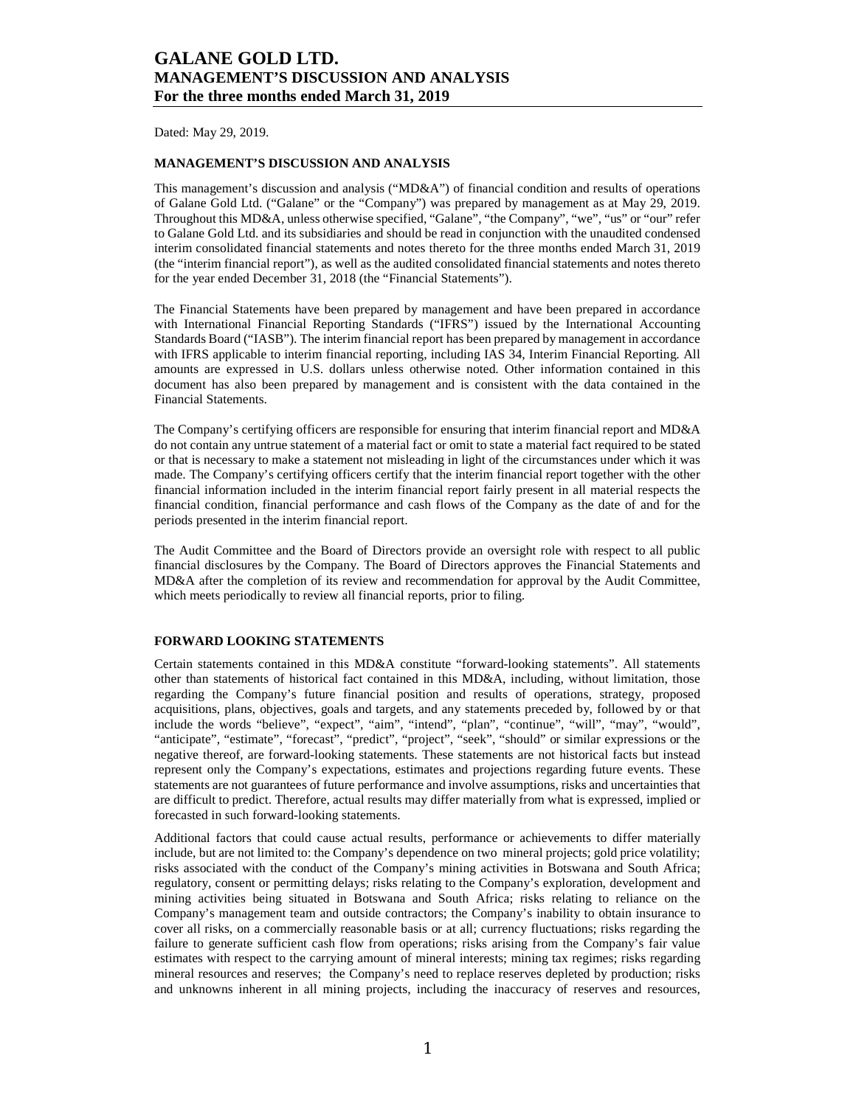Dated: May 29, 2019.

### **MANAGEMENT'S DISCUSSION AND ANALYSIS**

This management's discussion and analysis ("MD&A") of financial condition and results of operations of Galane Gold Ltd. ("Galane" or the "Company") was prepared by management as at May 29, 2019. Throughout this MD&A, unless otherwise specified, "Galane", "the Company", "we", "us" or "our" refer to Galane Gold Ltd. and its subsidiaries and should be read in conjunction with the unaudited condensed interim consolidated financial statements and notes thereto for the three months ended March 31, 2019 (the "interim financial report"), as well as the audited consolidated financial statements and notes thereto for the year ended December 31, 2018 (the "Financial Statements").

The Financial Statements have been prepared by management and have been prepared in accordance with International Financial Reporting Standards ("IFRS") issued by the International Accounting Standards Board ("IASB"). The interim financial report has been prepared by management in accordance with IFRS applicable to interim financial reporting, including IAS 34, Interim Financial Reporting. All amounts are expressed in U.S. dollars unless otherwise noted. Other information contained in this document has also been prepared by management and is consistent with the data contained in the Financial Statements.

The Company's certifying officers are responsible for ensuring that interim financial report and MD&A do not contain any untrue statement of a material fact or omit to state a material fact required to be stated or that is necessary to make a statement not misleading in light of the circumstances under which it was made. The Company's certifying officers certify that the interim financial report together with the other financial information included in the interim financial report fairly present in all material respects the financial condition, financial performance and cash flows of the Company as the date of and for the periods presented in the interim financial report.

The Audit Committee and the Board of Directors provide an oversight role with respect to all public financial disclosures by the Company. The Board of Directors approves the Financial Statements and MD&A after the completion of its review and recommendation for approval by the Audit Committee, which meets periodically to review all financial reports, prior to filing.

### **FORWARD LOOKING STATEMENTS**

Certain statements contained in this MD&A constitute "forward-looking statements". All statements other than statements of historical fact contained in this MD&A, including, without limitation, those regarding the Company's future financial position and results of operations, strategy, proposed acquisitions, plans, objectives, goals and targets, and any statements preceded by, followed by or that include the words "believe", "expect", "aim", "intend", "plan", "continue", "will", "may", "would", "anticipate", "estimate", "forecast", "predict", "project", "seek", "should" or similar expressions or the negative thereof, are forward-looking statements. These statements are not historical facts but instead represent only the Company's expectations, estimates and projections regarding future events. These statements are not guarantees of future performance and involve assumptions, risks and uncertainties that are difficult to predict. Therefore, actual results may differ materially from what is expressed, implied or forecasted in such forward-looking statements.

Additional factors that could cause actual results, performance or achievements to differ materially include, but are not limited to: the Company's dependence on two mineral projects; gold price volatility; risks associated with the conduct of the Company's mining activities in Botswana and South Africa; regulatory, consent or permitting delays; risks relating to the Company's exploration, development and mining activities being situated in Botswana and South Africa; risks relating to reliance on the Company's management team and outside contractors; the Company's inability to obtain insurance to cover all risks, on a commercially reasonable basis or at all; currency fluctuations; risks regarding the failure to generate sufficient cash flow from operations; risks arising from the Company's fair value estimates with respect to the carrying amount of mineral interests; mining tax regimes; risks regarding mineral resources and reserves; the Company's need to replace reserves depleted by production; risks and unknowns inherent in all mining projects, including the inaccuracy of reserves and resources,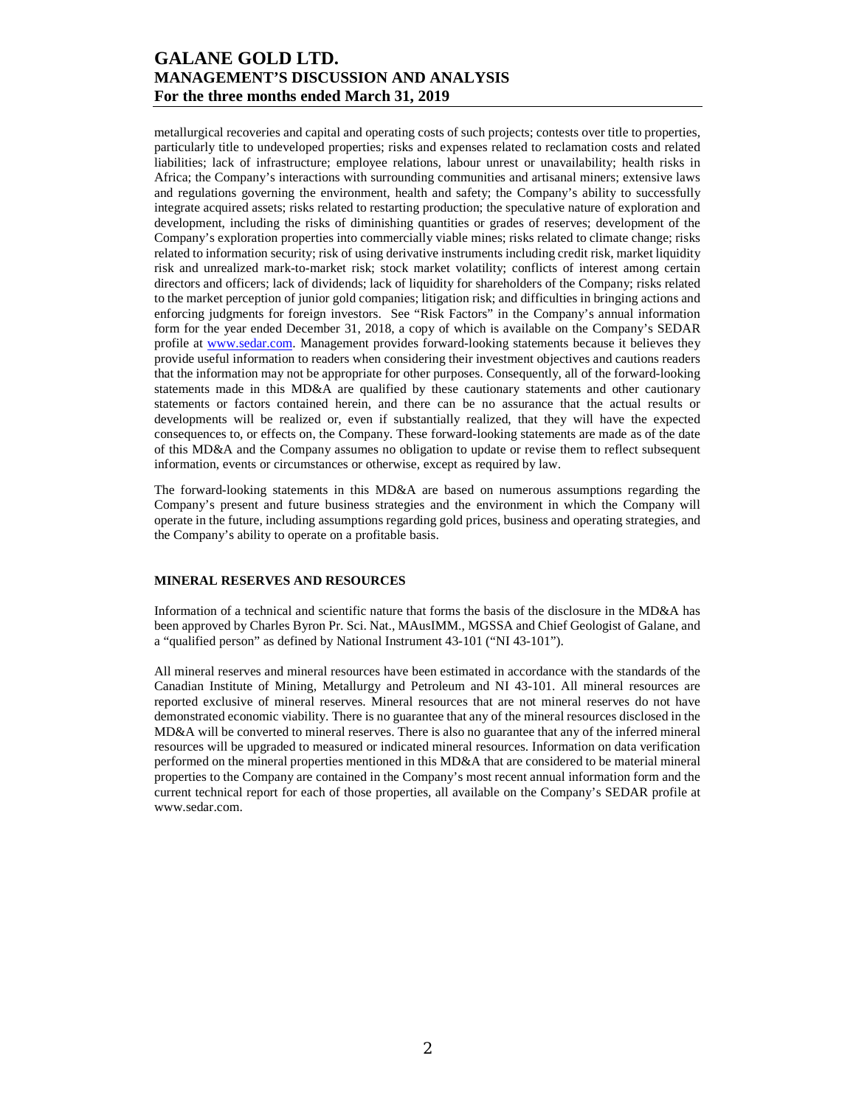metallurgical recoveries and capital and operating costs of such projects; contests over title to properties, particularly title to undeveloped properties; risks and expenses related to reclamation costs and related liabilities; lack of infrastructure; employee relations, labour unrest or unavailability; health risks in Africa; the Company's interactions with surrounding communities and artisanal miners; extensive laws and regulations governing the environment, health and safety; the Company's ability to successfully integrate acquired assets; risks related to restarting production; the speculative nature of exploration and development, including the risks of diminishing quantities or grades of reserves; development of the Company's exploration properties into commercially viable mines; risks related to climate change; risks related to information security; risk of using derivative instruments including credit risk, market liquidity risk and unrealized mark-to-market risk; stock market volatility; conflicts of interest among certain directors and officers; lack of dividends; lack of liquidity for shareholders of the Company; risks related to the market perception of junior gold companies; litigation risk; and difficulties in bringing actions and enforcing judgments for foreign investors. See "Risk Factors" in the Company's annual information form for the year ended December 31, 2018, a copy of which is available on the Company's SEDAR profile at www.sedar.com. Management provides forward-looking statements because it believes they provide useful information to readers when considering their investment objectives and cautions readers that the information may not be appropriate for other purposes. Consequently, all of the forward-looking statements made in this MD&A are qualified by these cautionary statements and other cautionary statements or factors contained herein, and there can be no assurance that the actual results or developments will be realized or, even if substantially realized, that they will have the expected consequences to, or effects on, the Company. These forward-looking statements are made as of the date of this MD&A and the Company assumes no obligation to update or revise them to reflect subsequent information, events or circumstances or otherwise, except as required by law.

The forward-looking statements in this MD&A are based on numerous assumptions regarding the Company's present and future business strategies and the environment in which the Company will operate in the future, including assumptions regarding gold prices, business and operating strategies, and the Company's ability to operate on a profitable basis.

### **MINERAL RESERVES AND RESOURCES**

Information of a technical and scientific nature that forms the basis of the disclosure in the MD&A has been approved by Charles Byron Pr. Sci. Nat., MAusIMM., MGSSA and Chief Geologist of Galane, and a "qualified person" as defined by National Instrument 43-101 ("NI 43-101").

All mineral reserves and mineral resources have been estimated in accordance with the standards of the Canadian Institute of Mining, Metallurgy and Petroleum and NI 43-101. All mineral resources are reported exclusive of mineral reserves. Mineral resources that are not mineral reserves do not have demonstrated economic viability. There is no guarantee that any of the mineral resources disclosed in the MD&A will be converted to mineral reserves. There is also no guarantee that any of the inferred mineral resources will be upgraded to measured or indicated mineral resources. Information on data verification performed on the mineral properties mentioned in this MD&A that are considered to be material mineral properties to the Company are contained in the Company's most recent annual information form and the current technical report for each of those properties, all available on the Company's SEDAR profile at www.sedar.com.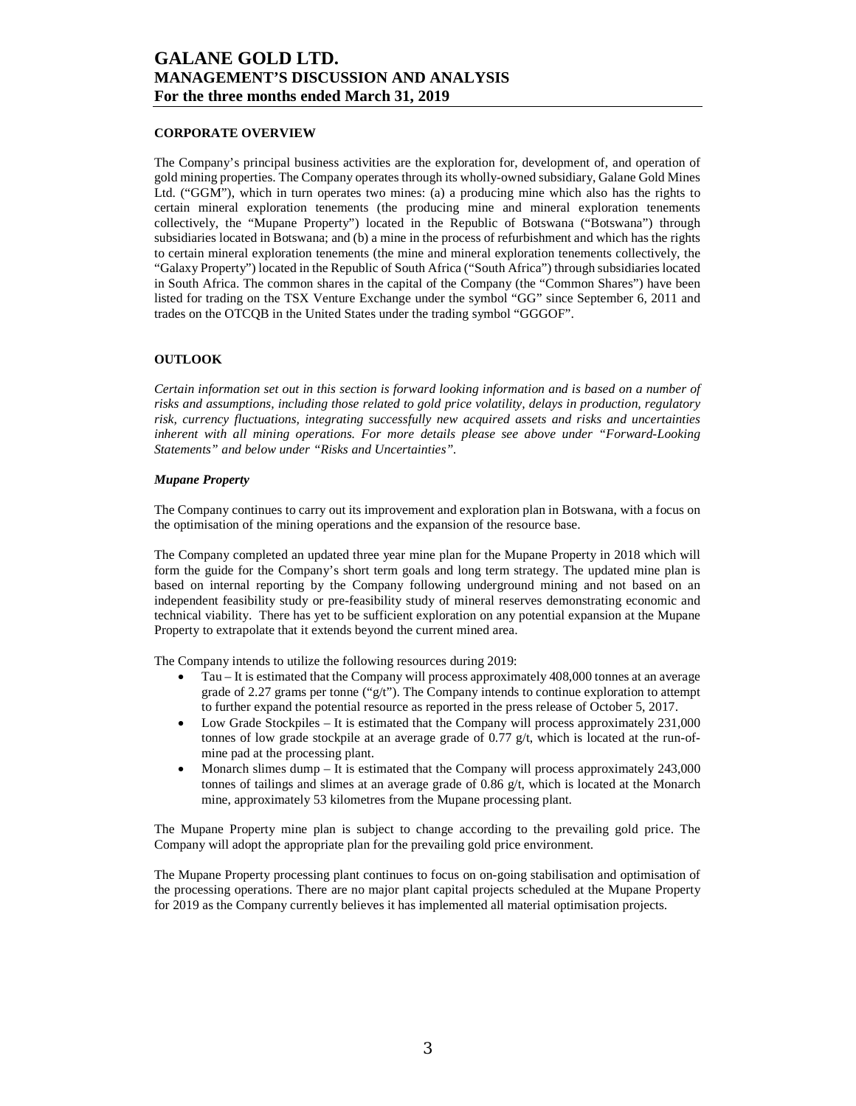### **CORPORATE OVERVIEW**

The Company's principal business activities are the exploration for, development of, and operation of gold mining properties. The Company operates through its wholly-owned subsidiary, Galane Gold Mines Ltd. ("GGM"), which in turn operates two mines: (a) a producing mine which also has the rights to certain mineral exploration tenements (the producing mine and mineral exploration tenements collectively, the "Mupane Property") located in the Republic of Botswana ("Botswana") through subsidiaries located in Botswana; and (b) a mine in the process of refurbishment and which has the rights to certain mineral exploration tenements (the mine and mineral exploration tenements collectively, the "Galaxy Property") located in the Republic of South Africa ("South Africa") through subsidiaries located in South Africa. The common shares in the capital of the Company (the "Common Shares") have been listed for trading on the TSX Venture Exchange under the symbol "GG" since September 6, 2011 and trades on the OTCQB in the United States under the trading symbol "GGGOF".

#### **OUTLOOK**

*Certain information set out in this section is forward looking information and is based on a number of risks and assumptions, including those related to gold price volatility, delays in production, regulatory risk, currency fluctuations, integrating successfully new acquired assets and risks and uncertainties inherent with all mining operations. For more details please see above under "Forward-Looking Statements" and below under "Risks and Uncertainties".* 

#### *Mupane Property*

The Company continues to carry out its improvement and exploration plan in Botswana, with a focus on the optimisation of the mining operations and the expansion of the resource base.

The Company completed an updated three year mine plan for the Mupane Property in 2018 which will form the guide for the Company's short term goals and long term strategy. The updated mine plan is based on internal reporting by the Company following underground mining and not based on an independent feasibility study or pre-feasibility study of mineral reserves demonstrating economic and technical viability. There has yet to be sufficient exploration on any potential expansion at the Mupane Property to extrapolate that it extends beyond the current mined area.

The Company intends to utilize the following resources during 2019:

- Tau It is estimated that the Company will process approximately 408,000 tonnes at an average grade of 2.27 grams per tonne (" $g/t$ "). The Company intends to continue exploration to attempt to further expand the potential resource as reported in the press release of October 5, 2017.
- Low Grade Stockpiles It is estimated that the Company will process approximately 231,000 tonnes of low grade stockpile at an average grade of  $0.77 \frac{g}{t}$ , which is located at the run-ofmine pad at the processing plant.
- Monarch slimes dump It is estimated that the Company will process approximately 243,000 tonnes of tailings and slimes at an average grade of 0.86 g/t, which is located at the Monarch mine, approximately 53 kilometres from the Mupane processing plant.

The Mupane Property mine plan is subject to change according to the prevailing gold price. The Company will adopt the appropriate plan for the prevailing gold price environment.

The Mupane Property processing plant continues to focus on on-going stabilisation and optimisation of the processing operations. There are no major plant capital projects scheduled at the Mupane Property for 2019 as the Company currently believes it has implemented all material optimisation projects.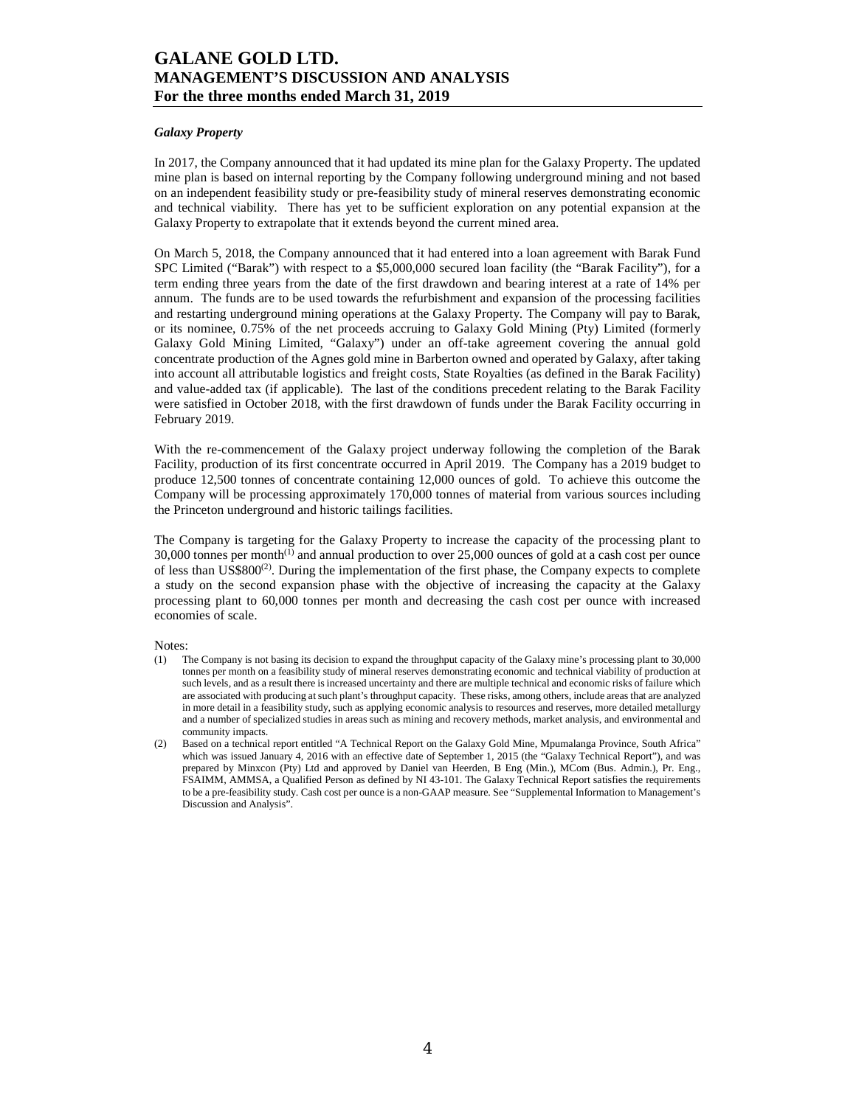### *Galaxy Property*

In 2017, the Company announced that it had updated its mine plan for the Galaxy Property. The updated mine plan is based on internal reporting by the Company following underground mining and not based on an independent feasibility study or pre-feasibility study of mineral reserves demonstrating economic and technical viability. There has yet to be sufficient exploration on any potential expansion at the Galaxy Property to extrapolate that it extends beyond the current mined area.

On March 5, 2018, the Company announced that it had entered into a loan agreement with Barak Fund SPC Limited ("Barak") with respect to a \$5,000,000 secured loan facility (the "Barak Facility"), for a term ending three years from the date of the first drawdown and bearing interest at a rate of 14% per annum. The funds are to be used towards the refurbishment and expansion of the processing facilities and restarting underground mining operations at the Galaxy Property. The Company will pay to Barak, or its nominee, 0.75% of the net proceeds accruing to Galaxy Gold Mining (Pty) Limited (formerly Galaxy Gold Mining Limited, "Galaxy") under an off-take agreement covering the annual gold concentrate production of the Agnes gold mine in Barberton owned and operated by Galaxy, after taking into account all attributable logistics and freight costs, State Royalties (as defined in the Barak Facility) and value-added tax (if applicable). The last of the conditions precedent relating to the Barak Facility were satisfied in October 2018, with the first drawdown of funds under the Barak Facility occurring in February 2019.

With the re-commencement of the Galaxy project underway following the completion of the Barak Facility, production of its first concentrate occurred in April 2019. The Company has a 2019 budget to produce 12,500 tonnes of concentrate containing 12,000 ounces of gold. To achieve this outcome the Company will be processing approximately 170,000 tonnes of material from various sources including the Princeton underground and historic tailings facilities.

The Company is targeting for the Galaxy Property to increase the capacity of the processing plant to  $30,000$  tonnes per month<sup>(1)</sup> and annual production to over  $25,000$  ounces of gold at a cash cost per ounce of less than  $US$800<sup>(2)</sup>$ . During the implementation of the first phase, the Company expects to complete a study on the second expansion phase with the objective of increasing the capacity at the Galaxy processing plant to 60,000 tonnes per month and decreasing the cash cost per ounce with increased economies of scale.

Notes:

- (1) The Company is not basing its decision to expand the throughput capacity of the Galaxy mine's processing plant to 30,000 tonnes per month on a feasibility study of mineral reserves demonstrating economic and technical viability of production at such levels, and as a result there is increased uncertainty and there are multiple technical and economic risks of failure which are associated with producing at such plant's throughput capacity. These risks, among others, include areas that are analyzed in more detail in a feasibility study, such as applying economic analysis to resources and reserves, more detailed metallurgy and a number of specialized studies in areas such as mining and recovery methods, market analysis, and environmental and community impacts.
- (2) Based on a technical report entitled "A Technical Report on the Galaxy Gold Mine, Mpumalanga Province, South Africa" which was issued January 4, 2016 with an effective date of September 1, 2015 (the "Galaxy Technical Report"), and was prepared by Minxcon (Pty) Ltd and approved by Daniel van Heerden, B Eng (Min.), MCom (Bus. Admin.), Pr. Eng., FSAIMM, AMMSA, a Qualified Person as defined by NI 43-101. The Galaxy Technical Report satisfies the requirements to be a pre-feasibility study. Cash cost per ounce is a non-GAAP measure. See "Supplemental Information to Management's Discussion and Analysis".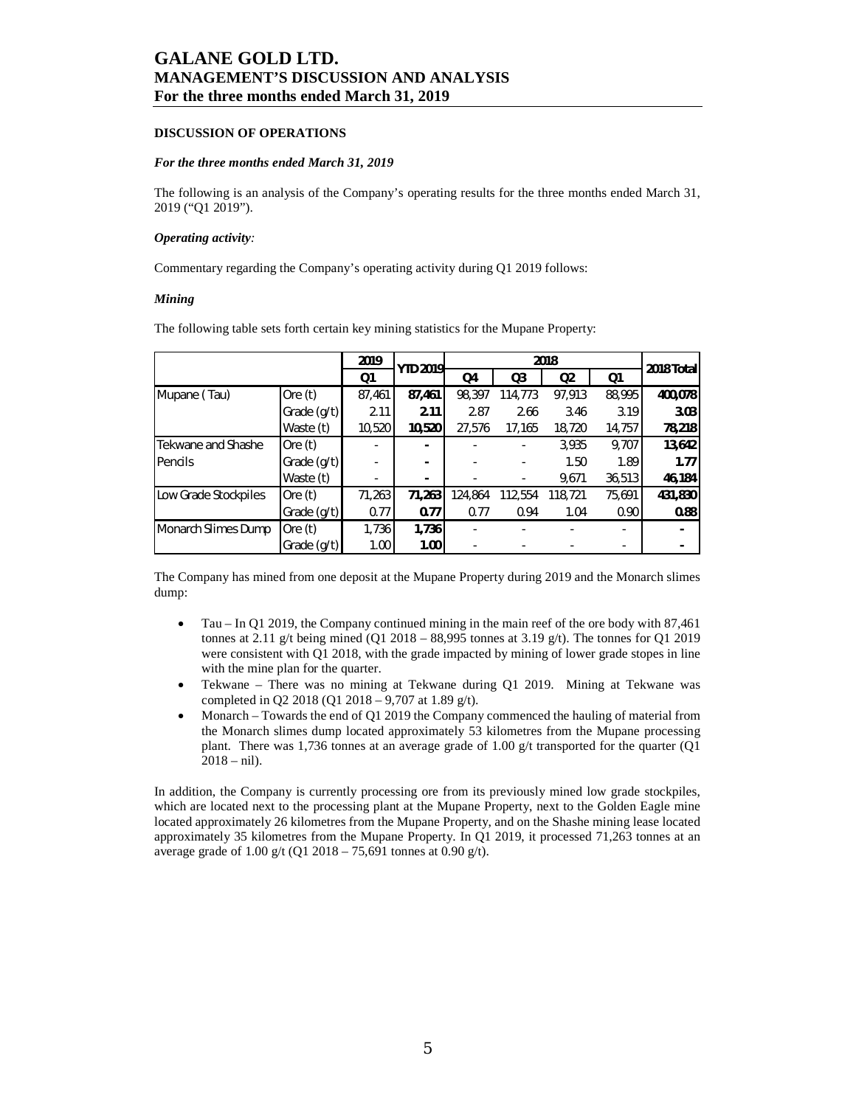### **DISCUSSION OF OPERATIONS**

### *For the three months ended March 31, 2019*

The following is an analysis of the Company's operating results for the three months ended March 31, 2019 ("Q1 2019").

#### *Operating activity:*

Commentary regarding the Company's operating activity during Q1 2019 follows:

#### *Mining*

The following table sets forth certain key mining statistics for the Mupane Property:

|                      |               | 2019<br><b>YTD 2019</b> |        |         |         | 2018 Total     |        |         |
|----------------------|---------------|-------------------------|--------|---------|---------|----------------|--------|---------|
|                      |               | Q1                      |        | Q4      | Q3      | Q <sub>2</sub> | Q1     |         |
| Mupane (Tau)         | Ore $(t)$     | 87,461                  | 87,461 | 98,397  | 114,773 | 97,913         | 88,995 | 400,078 |
|                      | Grade (g/t)   | 2.11                    | 2.11   | 2.87    | 2.66    | 3.46           | 3.19   | 3.03    |
|                      | Waste (t)     | 10,520                  | 10,520 | 27,576  | 17,165  | 18,720         | 14,757 | 78,218  |
| Tekwane and Shashe   | Ore $(t)$     |                         |        |         |         | 3,935          | 9,707  | 13,642  |
| Pencils              | Grade (g/t)   |                         |        |         |         | 1.50           | 1.89   | 1.77    |
|                      | Waste (t)     | ۰                       |        |         |         | 9,671          | 36,513 | 46,184  |
| Low Grade Stockpiles | Ore $(t)$     | 71,263                  | 71,263 | 124,864 | 112,554 | 118,721        | 75,691 | 431,830 |
|                      | Grade $(g/t)$ | 0.77                    | 0.77   | 0.77    | 0.94    | 1.04           | 0.90   | 0.88    |
| Monarch Slimes Dump  | Ore $(t)$     | 1,736                   | 1,736  |         |         |                |        |         |
|                      | Grade (g/t)   | 1.00                    | 1.00   |         |         |                |        |         |

The Company has mined from one deposit at the Mupane Property during 2019 and the Monarch slimes dump:

- Tau In Q1 2019, the Company continued mining in the main reef of the ore body with 87,461 tonnes at 2.11 g/t being mined (Q1 2018 – 88,995 tonnes at 3.19 g/t). The tonnes for Q1 2019 were consistent with Q1 2018, with the grade impacted by mining of lower grade stopes in line with the mine plan for the quarter.
- Tekwane There was no mining at Tekwane during Q1 2019. Mining at Tekwane was completed in Q2 2018 (Q1 2018 – 9,707 at 1.89 g/t).
- Monarch Towards the end of Q1 2019 the Company commenced the hauling of material from the Monarch slimes dump located approximately 53 kilometres from the Mupane processing plant. There was 1,736 tonnes at an average grade of 1.00  $g/t$  transported for the quarter (Q1  $2018 - \text{nil}$ .

In addition, the Company is currently processing ore from its previously mined low grade stockpiles, which are located next to the processing plant at the Mupane Property, next to the Golden Eagle mine located approximately 26 kilometres from the Mupane Property, and on the Shashe mining lease located approximately 35 kilometres from the Mupane Property. In Q1 2019, it processed 71,263 tonnes at an average grade of 1.00 g/t (Q1 2018 – 75,691 tonnes at 0.90 g/t).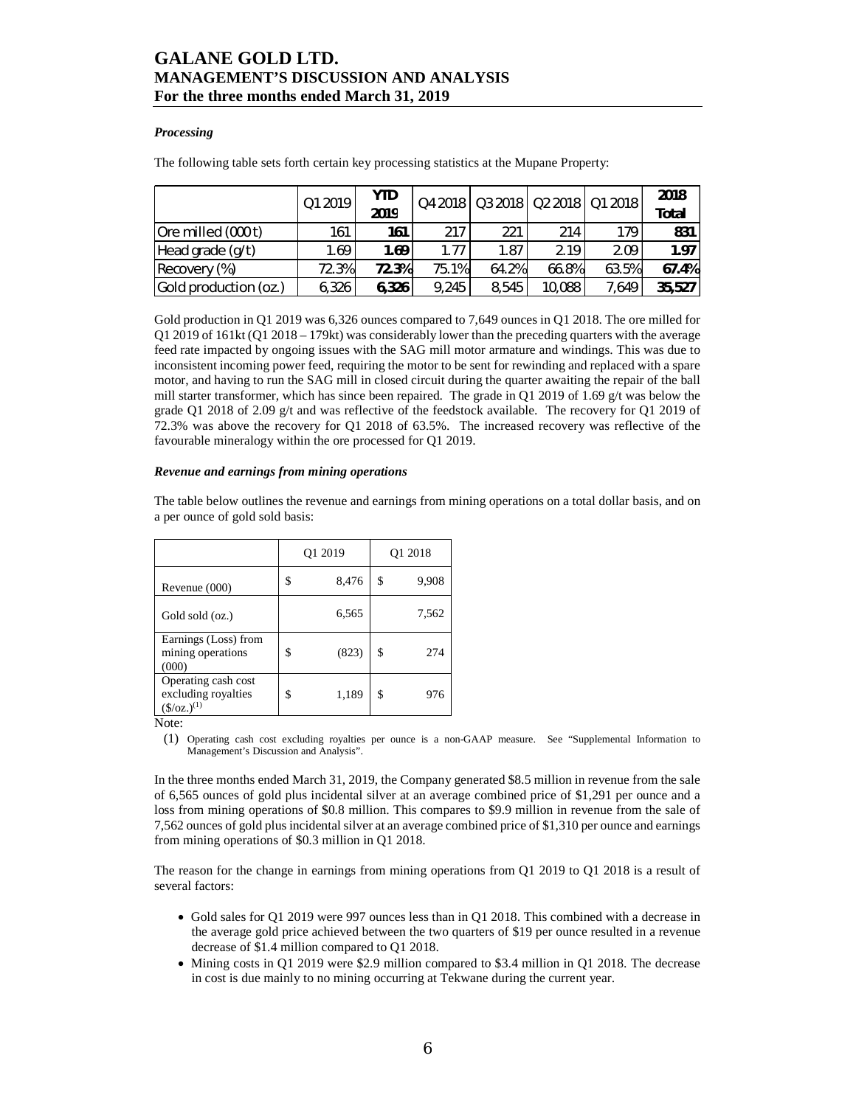### *Processing*

The following table sets forth certain key processing statistics at the Mupane Property:

|                       | Q1 2019 | <b>YTD</b><br>2019 |       |       |        | Q4 2018   Q3 2018   Q2 2018   Q1 2018 | 2018<br><b>Total</b> |
|-----------------------|---------|--------------------|-------|-------|--------|---------------------------------------|----------------------|
| Ore milled (000 t)    | 161     | 161                | 217   | 221   | 214    | 179                                   | 831                  |
| Head grade (g/t)      | 1.69    | 1.69               | 1.77  | 1.87  | 2.19   | 2.09                                  | 1.97                 |
| Recovery (%)          | 72.3%   | 72.3%              | 75.1% | 64.2% | 66.8%  | 63.5%                                 | 67.4%                |
| Gold production (oz.) | 6,326   | 6,326              | 9,245 | 8.545 | 10,088 | 7,649                                 | 35,527               |

Gold production in Q1 2019 was 6,326 ounces compared to 7,649 ounces in Q1 2018. The ore milled for Q1 2019 of 161kt (Q1 2018 – 179kt) was considerably lower than the preceding quarters with the average feed rate impacted by ongoing issues with the SAG mill motor armature and windings. This was due to inconsistent incoming power feed, requiring the motor to be sent for rewinding and replaced with a spare motor, and having to run the SAG mill in closed circuit during the quarter awaiting the repair of the ball mill starter transformer, which has since been repaired. The grade in Q1 2019 of 1.69 g/t was below the grade Q1 2018 of 2.09 g/t and was reflective of the feedstock available. The recovery for Q1 2019 of 72.3% was above the recovery for Q1 2018 of 63.5%. The increased recovery was reflective of the favourable mineralogy within the ore processed for Q1 2019.

#### *Revenue and earnings from mining operations*

The table below outlines the revenue and earnings from mining operations on a total dollar basis, and on a per ounce of gold sold basis:

|                                                                        | Q1 2019     | Q1 2018 |       |  |
|------------------------------------------------------------------------|-------------|---------|-------|--|
| Revenue (000)                                                          | \$<br>8,476 | \$      | 9,908 |  |
| Gold sold (oz.)                                                        | 6,565       |         | 7,562 |  |
| Earnings (Loss) from<br>mining operations<br>(000)                     | \$<br>(823) | \$      | 274   |  |
| Operating cash cost<br>excluding royalties<br>$(\frac{\xi}{oz})^{(1)}$ | \$<br>1,189 | \$      | 976   |  |

Note:

(1) Operating cash cost excluding royalties per ounce is a non-GAAP measure. See "Supplemental Information to Management's Discussion and Analysis".

In the three months ended March 31, 2019, the Company generated \$8.5 million in revenue from the sale of 6,565 ounces of gold plus incidental silver at an average combined price of \$1,291 per ounce and a loss from mining operations of \$0.8 million. This compares to \$9.9 million in revenue from the sale of 7,562 ounces of gold plus incidental silver at an average combined price of \$1,310 per ounce and earnings from mining operations of \$0.3 million in Q1 2018.

The reason for the change in earnings from mining operations from Q1 2019 to Q1 2018 is a result of several factors:

- Gold sales for Q1 2019 were 997 ounces less than in Q1 2018. This combined with a decrease in the average gold price achieved between the two quarters of \$19 per ounce resulted in a revenue decrease of \$1.4 million compared to Q1 2018.
- Mining costs in Q1 2019 were \$2.9 million compared to \$3.4 million in Q1 2018. The decrease in cost is due mainly to no mining occurring at Tekwane during the current year.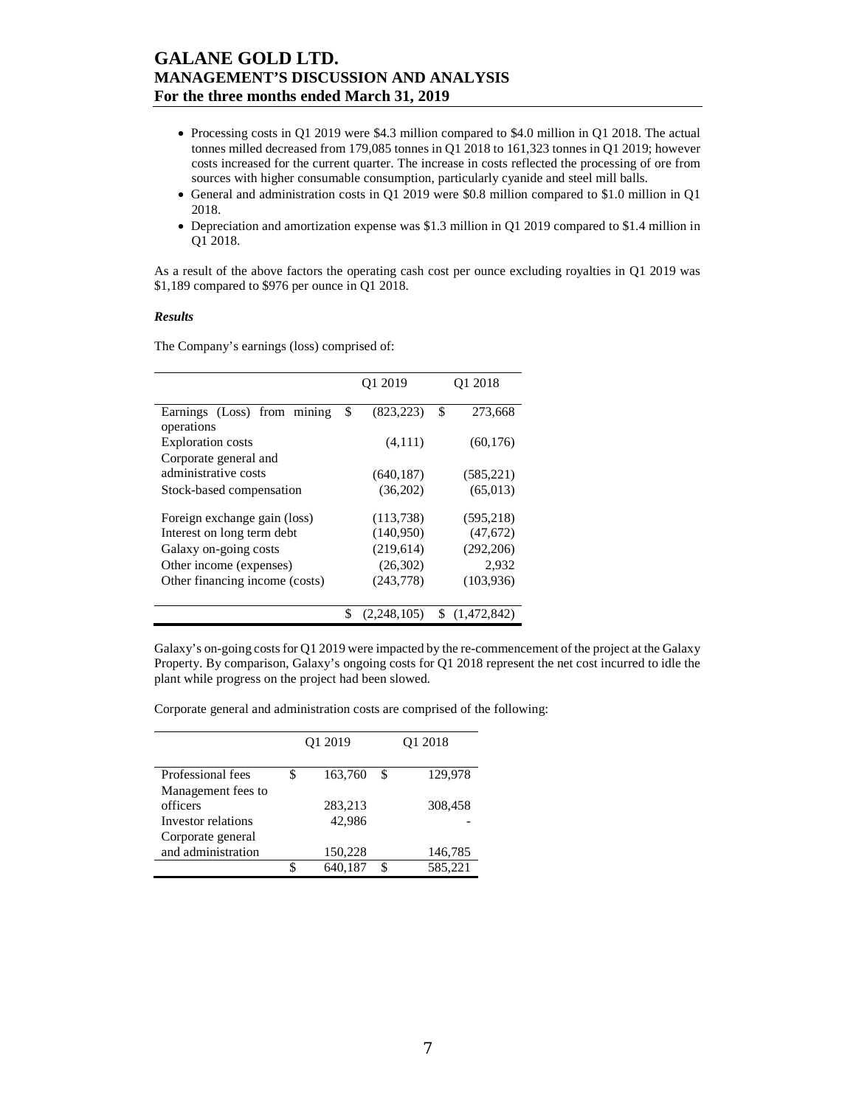- Processing costs in Q1 2019 were \$4.3 million compared to \$4.0 million in Q1 2018. The actual tonnes milled decreased from 179,085 tonnes in Q1 2018 to 161,323 tonnes in Q1 2019; however costs increased for the current quarter. The increase in costs reflected the processing of ore from sources with higher consumable consumption, particularly cyanide and steel mill balls.
- General and administration costs in Q1 2019 were \$0.8 million compared to \$1.0 million in Q1 2018.
- Depreciation and amortization expense was \$1.3 million in Q1 2019 compared to \$1.4 million in Q1 2018.

As a result of the above factors the operating cash cost per ounce excluding royalties in Q1 2019 was \$1,189 compared to \$976 per ounce in Q1 2018.

#### *Results*

The Company's earnings (loss) comprised of:

|                                           | O <sub>1</sub> 2019 |    | O <sub>1</sub> 2018 |
|-------------------------------------------|---------------------|----|---------------------|
| Earnings (Loss) from mining<br>operations | \$<br>(823, 223)    | \$ | 273,668             |
| <b>Exploration</b> costs                  | (4,111)             |    | (60, 176)           |
| Corporate general and                     |                     |    |                     |
| administrative costs                      | (640, 187)          |    | (585, 221)          |
| Stock-based compensation                  | (36,202)            |    | (65, 013)           |
| Foreign exchange gain (loss)              | (113, 738)          |    | (595, 218)          |
| Interest on long term debt                | (140,950)           |    | (47,672)            |
| Galaxy on-going costs                     | (219,614)           |    | (292, 206)          |
| Other income (expenses)                   | (26,302)            |    | 2,932               |
| Other financing income (costs)            | (243,778)           |    | (103,936)           |
|                                           | \$<br>(2, 248, 105) | S  | (1,472,842)         |

Galaxy's on-going costs for Q1 2019 were impacted by the re-commencement of the project at the Galaxy Property. By comparison, Galaxy's ongoing costs for Q1 2018 represent the net cost incurred to idle the plant while progress on the project had been slowed.

Corporate general and administration costs are comprised of the following:

|                    | Q1 2019       | O <sub>1</sub> 2018 |
|--------------------|---------------|---------------------|
| Professional fees  | \$<br>163,760 | \$<br>129,978       |
| Management fees to |               |                     |
| officers           | 283,213       | 308,458             |
| Investor relations | 42,986        |                     |
| Corporate general  |               |                     |
| and administration | 150,228       | 146,785             |
|                    | \$<br>640,187 | \$<br>585,221       |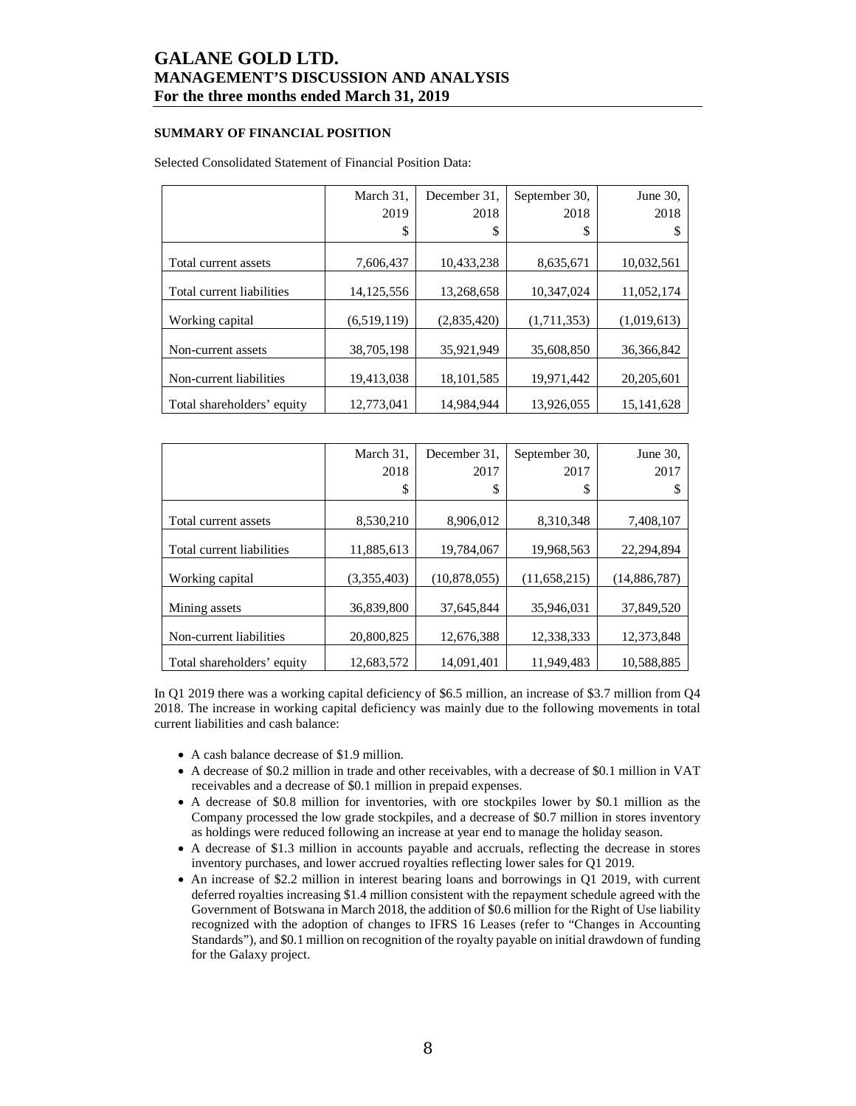### **SUMMARY OF FINANCIAL POSITION**

### Selected Consolidated Statement of Financial Position Data:

|                            | March 31,<br>2019 | December 31.<br>2018 | September 30,<br>2018 | June 30,<br>2018 |
|----------------------------|-------------------|----------------------|-----------------------|------------------|
|                            | \$                | \$                   | \$                    |                  |
| Total current assets       | 7,606,437         | 10,433,238           | 8,635,671             | 10,032,561       |
| Total current liabilities  | 14, 125, 556      | 13,268,658           | 10.347.024            | 11,052,174       |
| Working capital            | (6,519,119)       | (2,835,420)          | (1,711,353)           | (1,019,613)      |
| Non-current assets         | 38,705,198        | 35,921,949           | 35,608,850            | 36, 366, 842     |
| Non-current liabilities    | 19,413,038        | 18, 101, 585         | 19,971,442            | 20,205,601       |
| Total shareholders' equity | 12,773,041        | 14,984,944           | 13,926,055            | 15, 141, 628     |

|                            | March 31.   | December 31. | September 30. | June 30,       |
|----------------------------|-------------|--------------|---------------|----------------|
|                            | 2018        | 2017         | 2017          | 2017           |
|                            | \$          | \$           | S             | S              |
|                            |             |              |               |                |
| Total current assets       | 8,530,210   | 8.906.012    | 8.310.348     | 7,408,107      |
|                            |             |              |               |                |
| Total current liabilities  | 11,885,613  | 19,784,067   | 19,968,563    | 22,294,894     |
| Working capital            | (3.355.403) | (10,878,055) | (11,658,215)  | (14, 886, 787) |
| Mining assets              | 36,839,800  | 37,645,844   | 35,946,031    | 37,849,520     |
|                            |             |              |               |                |
| Non-current liabilities    | 20,800,825  | 12,676,388   | 12.338.333    | 12,373,848     |
| Total shareholders' equity | 12,683,572  | 14.091.401   | 11.949.483    | 10.588.885     |

In Q1 2019 there was a working capital deficiency of \$6.5 million, an increase of \$3.7 million from Q4 2018. The increase in working capital deficiency was mainly due to the following movements in total current liabilities and cash balance:

- A cash balance decrease of \$1.9 million.
- A decrease of \$0.2 million in trade and other receivables, with a decrease of \$0.1 million in VAT receivables and a decrease of \$0.1 million in prepaid expenses.
- A decrease of \$0.8 million for inventories, with ore stockpiles lower by \$0.1 million as the Company processed the low grade stockpiles, and a decrease of \$0.7 million in stores inventory as holdings were reduced following an increase at year end to manage the holiday season.
- A decrease of \$1.3 million in accounts payable and accruals, reflecting the decrease in stores inventory purchases, and lower accrued royalties reflecting lower sales for Q1 2019.
- An increase of \$2.2 million in interest bearing loans and borrowings in Q1 2019, with current deferred royalties increasing \$1.4 million consistent with the repayment schedule agreed with the Government of Botswana in March 2018, the addition of \$0.6 million for the Right of Use liability recognized with the adoption of changes to IFRS 16 Leases (refer to "Changes in Accounting Standards"), and \$0.1 million on recognition of the royalty payable on initial drawdown of funding for the Galaxy project.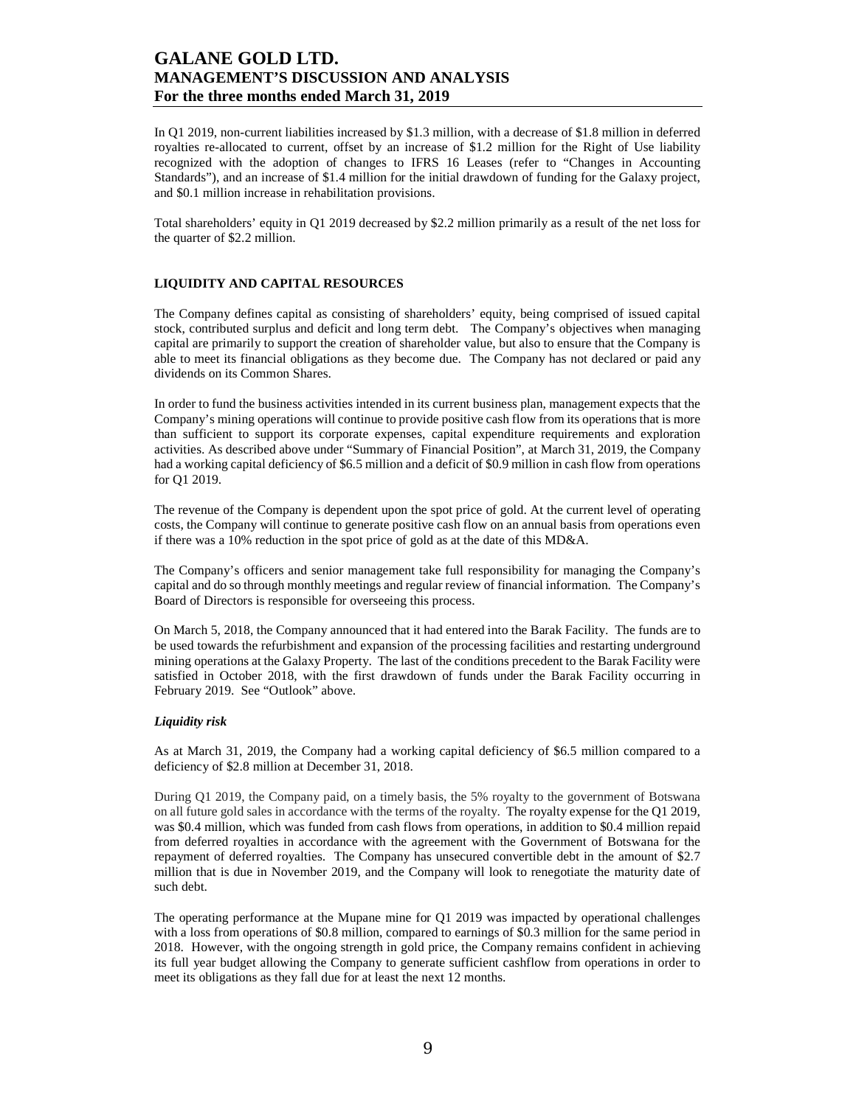In Q1 2019, non-current liabilities increased by \$1.3 million, with a decrease of \$1.8 million in deferred royalties re-allocated to current, offset by an increase of \$1.2 million for the Right of Use liability recognized with the adoption of changes to IFRS 16 Leases (refer to "Changes in Accounting Standards"), and an increase of \$1.4 million for the initial drawdown of funding for the Galaxy project, and \$0.1 million increase in rehabilitation provisions.

Total shareholders' equity in Q1 2019 decreased by \$2.2 million primarily as a result of the net loss for the quarter of \$2.2 million.

### **LIQUIDITY AND CAPITAL RESOURCES**

The Company defines capital as consisting of shareholders' equity, being comprised of issued capital stock, contributed surplus and deficit and long term debt. The Company's objectives when managing capital are primarily to support the creation of shareholder value, but also to ensure that the Company is able to meet its financial obligations as they become due. The Company has not declared or paid any dividends on its Common Shares.

In order to fund the business activities intended in its current business plan, management expects that the Company's mining operations will continue to provide positive cash flow from its operations that is more than sufficient to support its corporate expenses, capital expenditure requirements and exploration activities. As described above under "Summary of Financial Position", at March 31, 2019, the Company had a working capital deficiency of \$6.5 million and a deficit of \$0.9 million in cash flow from operations for Q1 2019.

The revenue of the Company is dependent upon the spot price of gold. At the current level of operating costs, the Company will continue to generate positive cash flow on an annual basis from operations even if there was a 10% reduction in the spot price of gold as at the date of this MD&A.

The Company's officers and senior management take full responsibility for managing the Company's capital and do so through monthly meetings and regular review of financial information. The Company's Board of Directors is responsible for overseeing this process.

On March 5, 2018, the Company announced that it had entered into the Barak Facility. The funds are to be used towards the refurbishment and expansion of the processing facilities and restarting underground mining operations at the Galaxy Property. The last of the conditions precedent to the Barak Facility were satisfied in October 2018, with the first drawdown of funds under the Barak Facility occurring in February 2019. See "Outlook" above.

### *Liquidity risk*

As at March 31, 2019, the Company had a working capital deficiency of \$6.5 million compared to a deficiency of \$2.8 million at December 31, 2018.

During Q1 2019, the Company paid, on a timely basis, the 5% royalty to the government of Botswana on all future gold sales in accordance with the terms of the royalty. The royalty expense for the Q1 2019, was \$0.4 million, which was funded from cash flows from operations, in addition to \$0.4 million repaid from deferred royalties in accordance with the agreement with the Government of Botswana for the repayment of deferred royalties. The Company has unsecured convertible debt in the amount of \$2.7 million that is due in November 2019, and the Company will look to renegotiate the maturity date of such debt.

The operating performance at the Mupane mine for Q1 2019 was impacted by operational challenges with a loss from operations of \$0.8 million, compared to earnings of \$0.3 million for the same period in 2018. However, with the ongoing strength in gold price, the Company remains confident in achieving its full year budget allowing the Company to generate sufficient cashflow from operations in order to meet its obligations as they fall due for at least the next 12 months.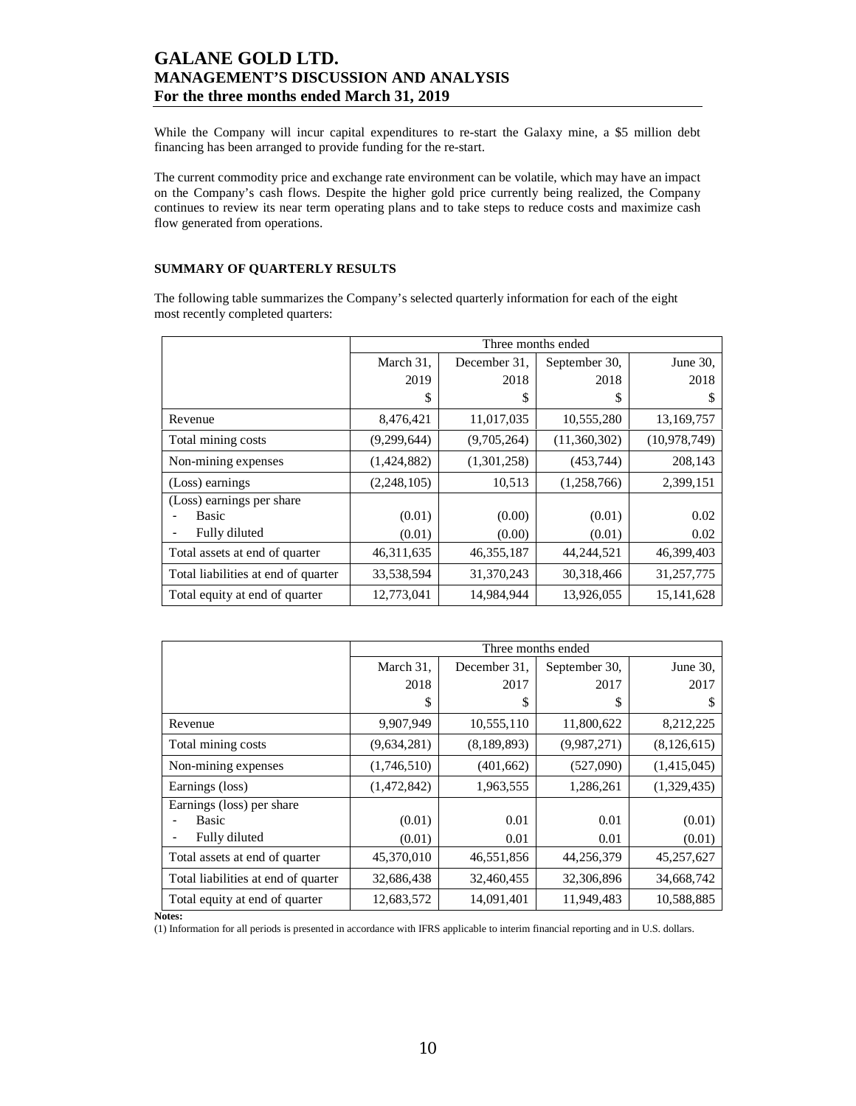While the Company will incur capital expenditures to re-start the Galaxy mine, a \$5 million debt financing has been arranged to provide funding for the re-start.

The current commodity price and exchange rate environment can be volatile, which may have an impact on the Company's cash flows. Despite the higher gold price currently being realized, the Company continues to review its near term operating plans and to take steps to reduce costs and maximize cash flow generated from operations.

### **SUMMARY OF QUARTERLY RESULTS**

The following table summarizes the Company's selected quarterly information for each of the eight most recently completed quarters:

|                                     |             | Three months ended |               |                |  |  |  |  |  |
|-------------------------------------|-------------|--------------------|---------------|----------------|--|--|--|--|--|
|                                     | March 31,   | December 31.       | September 30, | June 30.       |  |  |  |  |  |
|                                     | 2019        | 2018               | 2018          | 2018           |  |  |  |  |  |
|                                     | S           | S                  | S             |                |  |  |  |  |  |
| Revenue                             | 8,476,421   | 11,017,035         | 10,555,280    | 13,169,757     |  |  |  |  |  |
| Total mining costs                  | (9,299,644) | (9,705,264)        | (11,360,302)  | (10, 978, 749) |  |  |  |  |  |
| Non-mining expenses                 | (1,424,882) | (1,301,258)        | (453, 744)    | 208,143        |  |  |  |  |  |
| (Loss) earnings                     | (2,248,105) | 10,513             | (1,258,766)   | 2,399,151      |  |  |  |  |  |
| (Loss) earnings per share           |             |                    |               |                |  |  |  |  |  |
| Basic                               | (0.01)      | (0.00)             | (0.01)        | 0.02           |  |  |  |  |  |
| Fully diluted                       | (0.01)      | (0.00)             | (0.01)        | 0.02           |  |  |  |  |  |
| Total assets at end of quarter      | 46,311,635  | 46, 355, 187       | 44,244,521    | 46,399,403     |  |  |  |  |  |
| Total liabilities at end of quarter | 33,538,594  | 31,370,243         | 30,318,466    | 31,257,775     |  |  |  |  |  |
| Total equity at end of quarter      | 12,773,041  | 14,984,944         | 13,926,055    | 15, 141, 628   |  |  |  |  |  |

|                                     |             | Three months ended |               |               |  |  |  |  |  |  |
|-------------------------------------|-------------|--------------------|---------------|---------------|--|--|--|--|--|--|
|                                     | March 31,   | December 31.       | September 30, | June 30,      |  |  |  |  |  |  |
|                                     | 2018        | 2017               | 2017          | 2017          |  |  |  |  |  |  |
|                                     | S           | \$                 | S             | S             |  |  |  |  |  |  |
| Revenue                             | 9,907,949   | 10,555,110         | 11,800,622    | 8,212,225     |  |  |  |  |  |  |
| Total mining costs                  | (9,634,281) | (8,189,893)        | (9,987,271)   | (8, 126, 615) |  |  |  |  |  |  |
| Non-mining expenses                 | (1,746,510) | (401, 662)         | (527,090)     | (1,415,045)   |  |  |  |  |  |  |
| Earnings (loss)                     | (1,472,842) | 1,963,555          | 1,286,261     | (1,329,435)   |  |  |  |  |  |  |
| Earnings (loss) per share           |             |                    |               |               |  |  |  |  |  |  |
| <b>Basic</b>                        | (0.01)      | 0.01               | 0.01          | (0.01)        |  |  |  |  |  |  |
| Fully diluted                       | (0.01)      | 0.01               | 0.01          | (0.01)        |  |  |  |  |  |  |
| Total assets at end of quarter      | 45,370,010  | 46,551,856         | 44,256,379    | 45,257,627    |  |  |  |  |  |  |
| Total liabilities at end of quarter | 32,686,438  | 32,460,455         | 32,306,896    | 34,668,742    |  |  |  |  |  |  |
| Total equity at end of quarter      | 12,683,572  | 14,091,401         | 11,949,483    | 10,588,885    |  |  |  |  |  |  |

**Notes:** 

(1) Information for all periods is presented in accordance with IFRS applicable to interim financial reporting and in U.S. dollars.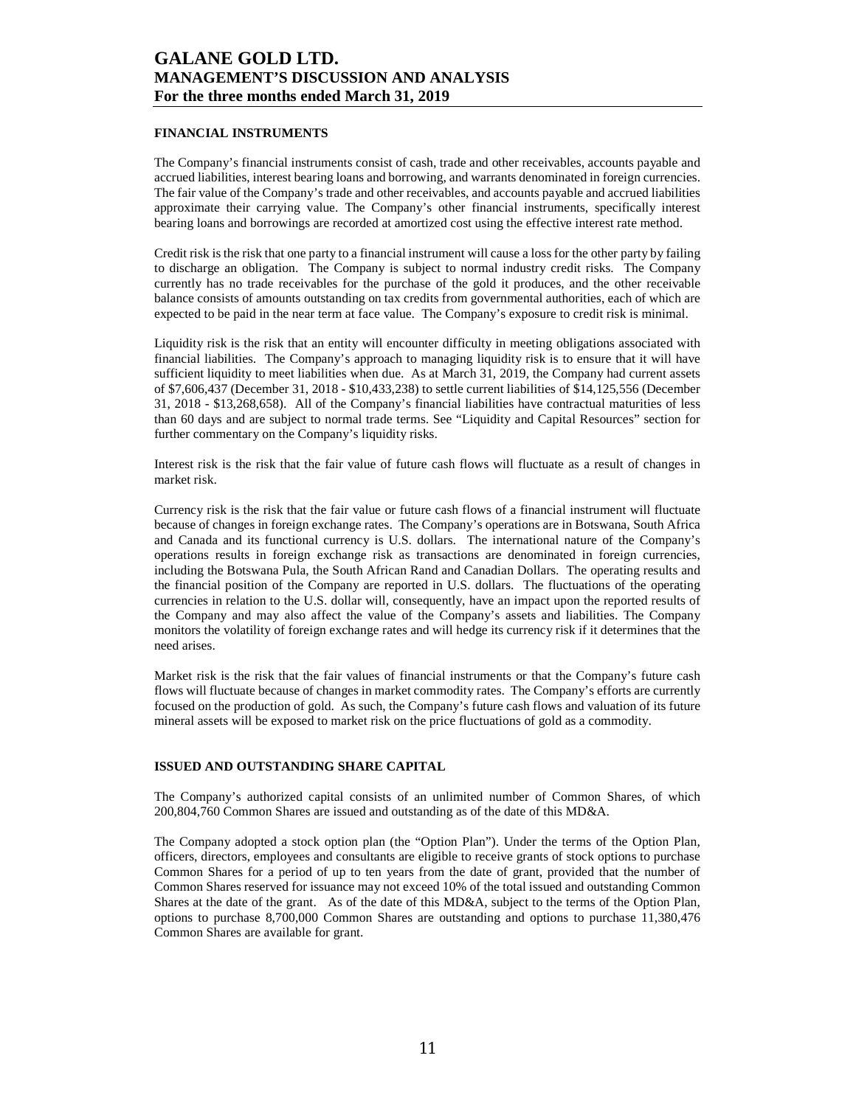### **FINANCIAL INSTRUMENTS**

The Company's financial instruments consist of cash, trade and other receivables, accounts payable and accrued liabilities, interest bearing loans and borrowing, and warrants denominated in foreign currencies. The fair value of the Company's trade and other receivables, and accounts payable and accrued liabilities approximate their carrying value. The Company's other financial instruments, specifically interest bearing loans and borrowings are recorded at amortized cost using the effective interest rate method.

Credit risk is the risk that one party to a financial instrument will cause a loss for the other party by failing to discharge an obligation. The Company is subject to normal industry credit risks. The Company currently has no trade receivables for the purchase of the gold it produces, and the other receivable balance consists of amounts outstanding on tax credits from governmental authorities, each of which are expected to be paid in the near term at face value. The Company's exposure to credit risk is minimal.

Liquidity risk is the risk that an entity will encounter difficulty in meeting obligations associated with financial liabilities. The Company's approach to managing liquidity risk is to ensure that it will have sufficient liquidity to meet liabilities when due. As at March 31, 2019, the Company had current assets of \$7,606,437 (December 31, 2018 - \$10,433,238) to settle current liabilities of \$14,125,556 (December 31, 2018 - \$13,268,658). All of the Company's financial liabilities have contractual maturities of less than 60 days and are subject to normal trade terms. See "Liquidity and Capital Resources" section for further commentary on the Company's liquidity risks.

Interest risk is the risk that the fair value of future cash flows will fluctuate as a result of changes in market risk.

Currency risk is the risk that the fair value or future cash flows of a financial instrument will fluctuate because of changes in foreign exchange rates. The Company's operations are in Botswana, South Africa and Canada and its functional currency is U.S. dollars. The international nature of the Company's operations results in foreign exchange risk as transactions are denominated in foreign currencies, including the Botswana Pula, the South African Rand and Canadian Dollars. The operating results and the financial position of the Company are reported in U.S. dollars. The fluctuations of the operating currencies in relation to the U.S. dollar will, consequently, have an impact upon the reported results of the Company and may also affect the value of the Company's assets and liabilities. The Company monitors the volatility of foreign exchange rates and will hedge its currency risk if it determines that the need arises.

Market risk is the risk that the fair values of financial instruments or that the Company's future cash flows will fluctuate because of changes in market commodity rates. The Company's efforts are currently focused on the production of gold. As such, the Company's future cash flows and valuation of its future mineral assets will be exposed to market risk on the price fluctuations of gold as a commodity.

#### **ISSUED AND OUTSTANDING SHARE CAPITAL**

The Company's authorized capital consists of an unlimited number of Common Shares, of which 200,804,760 Common Shares are issued and outstanding as of the date of this MD&A.

The Company adopted a stock option plan (the "Option Plan"). Under the terms of the Option Plan, officers, directors, employees and consultants are eligible to receive grants of stock options to purchase Common Shares for a period of up to ten years from the date of grant, provided that the number of Common Shares reserved for issuance may not exceed 10% of the total issued and outstanding Common Shares at the date of the grant. As of the date of this MD&A, subject to the terms of the Option Plan, options to purchase 8,700,000 Common Shares are outstanding and options to purchase 11,380,476 Common Shares are available for grant.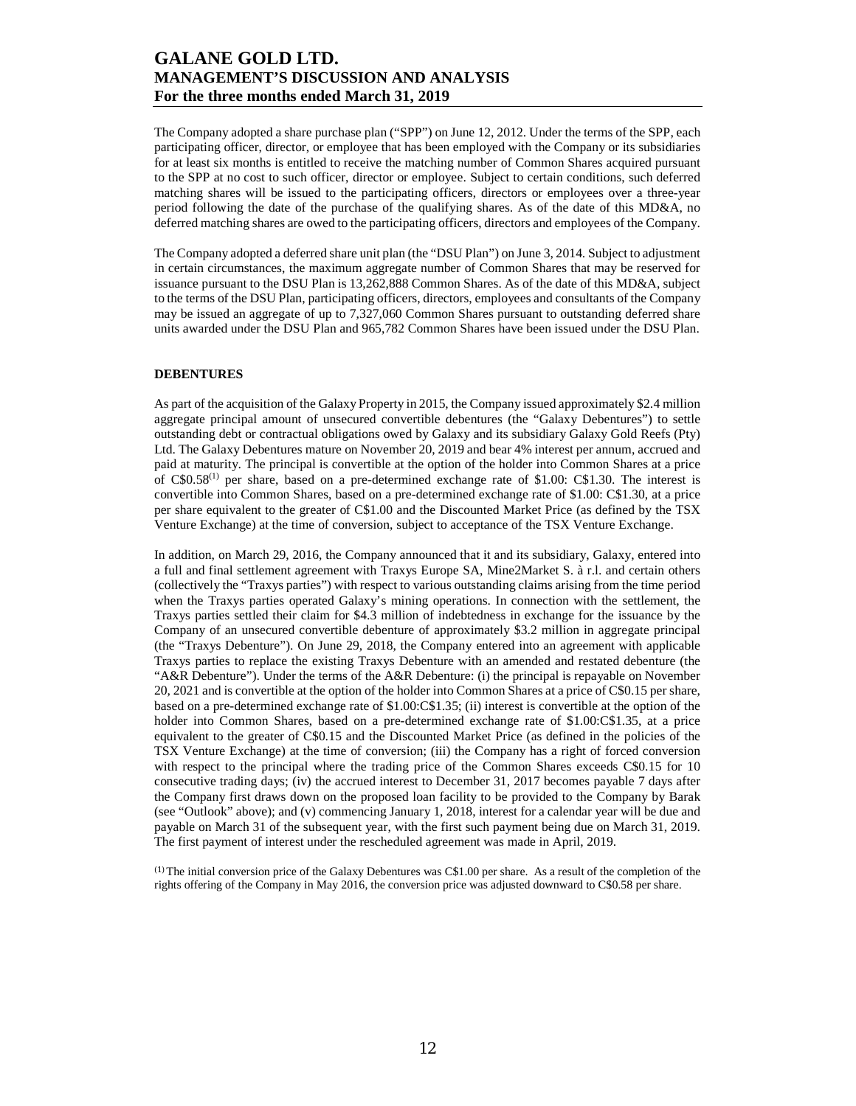The Company adopted a share purchase plan ("SPP") on June 12, 2012. Under the terms of the SPP, each participating officer, director, or employee that has been employed with the Company or its subsidiaries for at least six months is entitled to receive the matching number of Common Shares acquired pursuant to the SPP at no cost to such officer, director or employee. Subject to certain conditions, such deferred matching shares will be issued to the participating officers, directors or employees over a three-year period following the date of the purchase of the qualifying shares. As of the date of this MD&A, no deferred matching shares are owed to the participating officers, directors and employees of the Company.

The Company adopted a deferred share unit plan (the "DSU Plan") on June 3, 2014. Subject to adjustment in certain circumstances, the maximum aggregate number of Common Shares that may be reserved for issuance pursuant to the DSU Plan is 13,262,888 Common Shares. As of the date of this MD&A, subject to the terms of the DSU Plan, participating officers, directors, employees and consultants of the Company may be issued an aggregate of up to 7,327,060 Common Shares pursuant to outstanding deferred share units awarded under the DSU Plan and 965,782 Common Shares have been issued under the DSU Plan.

#### **DEBENTURES**

As part of the acquisition of the Galaxy Property in 2015, the Company issued approximately \$2.4 million aggregate principal amount of unsecured convertible debentures (the "Galaxy Debentures") to settle outstanding debt or contractual obligations owed by Galaxy and its subsidiary Galaxy Gold Reefs (Pty) Ltd. The Galaxy Debentures mature on November 20, 2019 and bear 4% interest per annum, accrued and paid at maturity. The principal is convertible at the option of the holder into Common Shares at a price of  $C$0.58<sup>(1)</sup>$  per share, based on a pre-determined exchange rate of \$1.00: C\$1.30. The interest is convertible into Common Shares, based on a pre-determined exchange rate of \$1.00: C\$1.30, at a price per share equivalent to the greater of C\$1.00 and the Discounted Market Price (as defined by the TSX Venture Exchange) at the time of conversion, subject to acceptance of the TSX Venture Exchange.

In addition, on March 29, 2016, the Company announced that it and its subsidiary, Galaxy, entered into a full and final settlement agreement with Traxys Europe SA, Mine2Market S. à r.l. and certain others (collectively the "Traxys parties") with respect to various outstanding claims arising from the time period when the Traxys parties operated Galaxy's mining operations. In connection with the settlement, the Traxys parties settled their claim for \$4.3 million of indebtedness in exchange for the issuance by the Company of an unsecured convertible debenture of approximately \$3.2 million in aggregate principal (the "Traxys Debenture"). On June 29, 2018, the Company entered into an agreement with applicable Traxys parties to replace the existing Traxys Debenture with an amended and restated debenture (the "A&R Debenture"). Under the terms of the A&R Debenture: (i) the principal is repayable on November 20, 2021 and is convertible at the option of the holder into Common Shares at a price of C\$0.15 per share, based on a pre-determined exchange rate of \$1.00:C\$1.35; (ii) interest is convertible at the option of the holder into Common Shares, based on a pre-determined exchange rate of \$1.00:C\$1.35, at a price equivalent to the greater of C\$0.15 and the Discounted Market Price (as defined in the policies of the TSX Venture Exchange) at the time of conversion; (iii) the Company has a right of forced conversion with respect to the principal where the trading price of the Common Shares exceeds C\$0.15 for 10 consecutive trading days; (iv) the accrued interest to December 31, 2017 becomes payable 7 days after the Company first draws down on the proposed loan facility to be provided to the Company by Barak (see "Outlook" above); and (v) commencing January 1, 2018, interest for a calendar year will be due and payable on March 31 of the subsequent year, with the first such payment being due on March 31, 2019. The first payment of interest under the rescheduled agreement was made in April, 2019.

(1) The initial conversion price of the Galaxy Debentures was C\$1.00 per share. As a result of the completion of the rights offering of the Company in May 2016, the conversion price was adjusted downward to C\$0.58 per share.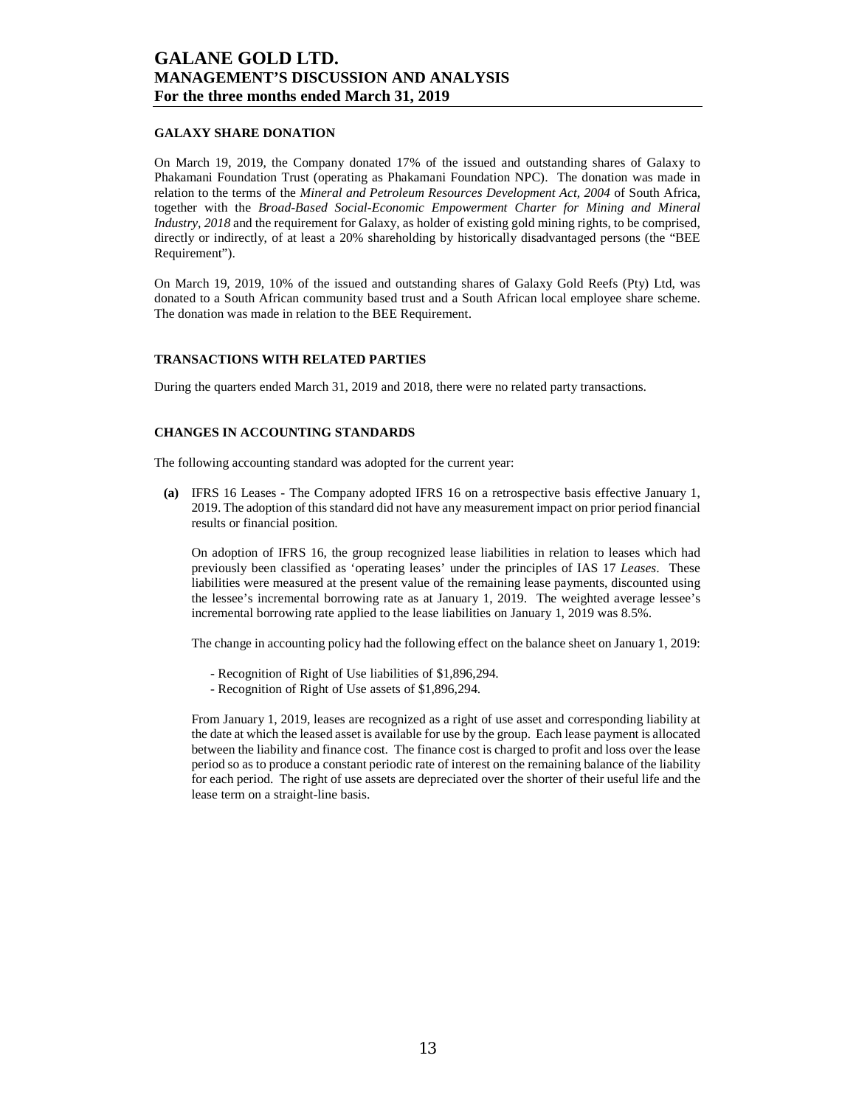### **GALAXY SHARE DONATION**

On March 19, 2019, the Company donated 17% of the issued and outstanding shares of Galaxy to Phakamani Foundation Trust (operating as Phakamani Foundation NPC). The donation was made in relation to the terms of the *Mineral and Petroleum Resources Development Act, 2004* of South Africa, together with the *Broad-Based Social-Economic Empowerment Charter for Mining and Mineral Industry, 2018* and the requirement for Galaxy, as holder of existing gold mining rights, to be comprised, directly or indirectly, of at least a 20% shareholding by historically disadvantaged persons (the "BEE Requirement").

On March 19, 2019, 10% of the issued and outstanding shares of Galaxy Gold Reefs (Pty) Ltd, was donated to a South African community based trust and a South African local employee share scheme. The donation was made in relation to the BEE Requirement.

#### **TRANSACTIONS WITH RELATED PARTIES**

During the quarters ended March 31, 2019 and 2018, there were no related party transactions.

### **CHANGES IN ACCOUNTING STANDARDS**

The following accounting standard was adopted for the current year:

**(a)** IFRS 16 Leases - The Company adopted IFRS 16 on a retrospective basis effective January 1, 2019. The adoption of this standard did not have any measurement impact on prior period financial results or financial position.

On adoption of IFRS 16, the group recognized lease liabilities in relation to leases which had previously been classified as 'operating leases' under the principles of IAS 17 *Leases*. These liabilities were measured at the present value of the remaining lease payments, discounted using the lessee's incremental borrowing rate as at January 1, 2019. The weighted average lessee's incremental borrowing rate applied to the lease liabilities on January 1, 2019 was 8.5%.

The change in accounting policy had the following effect on the balance sheet on January 1, 2019:

- Recognition of Right of Use liabilities of \$1,896,294.
- Recognition of Right of Use assets of \$1,896,294.

From January 1, 2019, leases are recognized as a right of use asset and corresponding liability at the date at which the leased asset is available for use by the group. Each lease payment is allocated between the liability and finance cost. The finance cost is charged to profit and loss over the lease period so as to produce a constant periodic rate of interest on the remaining balance of the liability for each period. The right of use assets are depreciated over the shorter of their useful life and the lease term on a straight-line basis.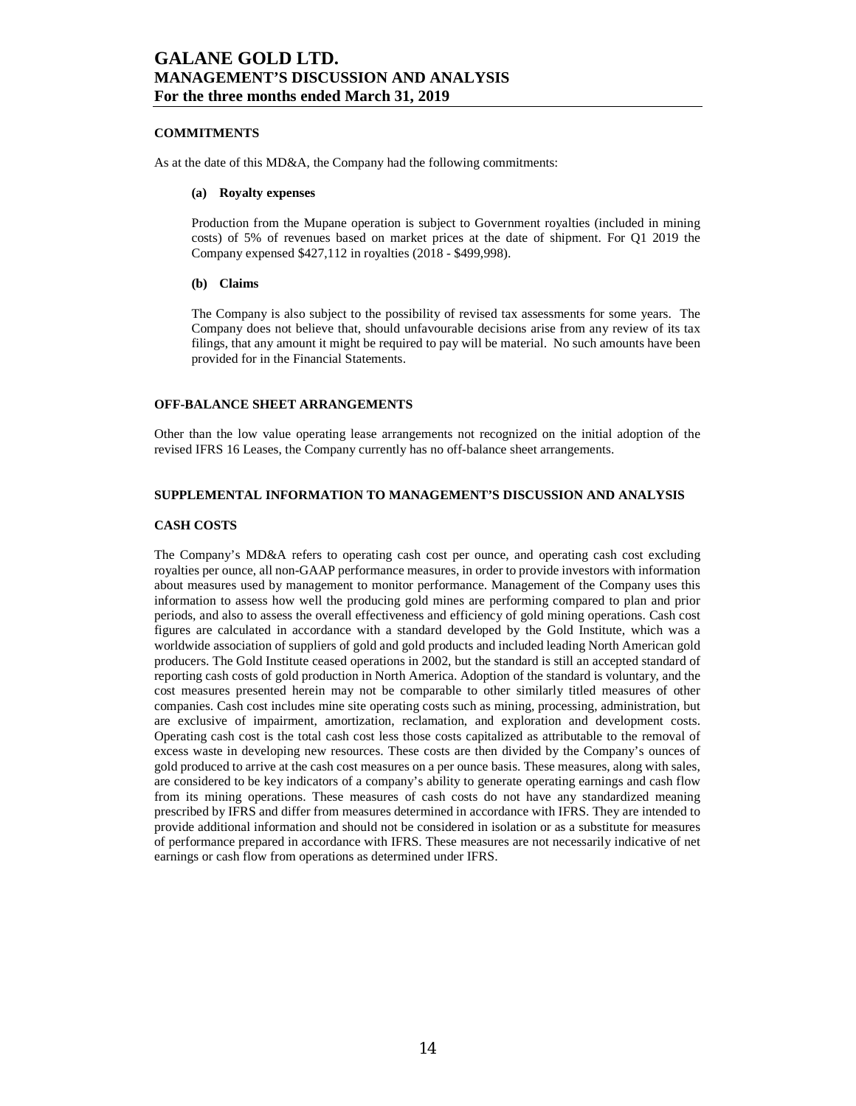### **COMMITMENTS**

As at the date of this MD&A, the Company had the following commitments:

#### **(a) Royalty expenses**

Production from the Mupane operation is subject to Government royalties (included in mining costs) of 5% of revenues based on market prices at the date of shipment. For Q1 2019 the Company expensed \$427,112 in royalties (2018 - \$499,998).

#### **(b) Claims**

The Company is also subject to the possibility of revised tax assessments for some years. The Company does not believe that, should unfavourable decisions arise from any review of its tax filings, that any amount it might be required to pay will be material. No such amounts have been provided for in the Financial Statements.

### **OFF-BALANCE SHEET ARRANGEMENTS**

Other than the low value operating lease arrangements not recognized on the initial adoption of the revised IFRS 16 Leases, the Company currently has no off-balance sheet arrangements.

### **SUPPLEMENTAL INFORMATION TO MANAGEMENT'S DISCUSSION AND ANALYSIS**

#### **CASH COSTS**

The Company's MD&A refers to operating cash cost per ounce, and operating cash cost excluding royalties per ounce, all non-GAAP performance measures, in order to provide investors with information about measures used by management to monitor performance. Management of the Company uses this information to assess how well the producing gold mines are performing compared to plan and prior periods, and also to assess the overall effectiveness and efficiency of gold mining operations. Cash cost figures are calculated in accordance with a standard developed by the Gold Institute, which was a worldwide association of suppliers of gold and gold products and included leading North American gold producers. The Gold Institute ceased operations in 2002, but the standard is still an accepted standard of reporting cash costs of gold production in North America. Adoption of the standard is voluntary, and the cost measures presented herein may not be comparable to other similarly titled measures of other companies. Cash cost includes mine site operating costs such as mining, processing, administration, but are exclusive of impairment, amortization, reclamation, and exploration and development costs. Operating cash cost is the total cash cost less those costs capitalized as attributable to the removal of excess waste in developing new resources. These costs are then divided by the Company's ounces of gold produced to arrive at the cash cost measures on a per ounce basis. These measures, along with sales, are considered to be key indicators of a company's ability to generate operating earnings and cash flow from its mining operations. These measures of cash costs do not have any standardized meaning prescribed by IFRS and differ from measures determined in accordance with IFRS. They are intended to provide additional information and should not be considered in isolation or as a substitute for measures of performance prepared in accordance with IFRS. These measures are not necessarily indicative of net earnings or cash flow from operations as determined under IFRS.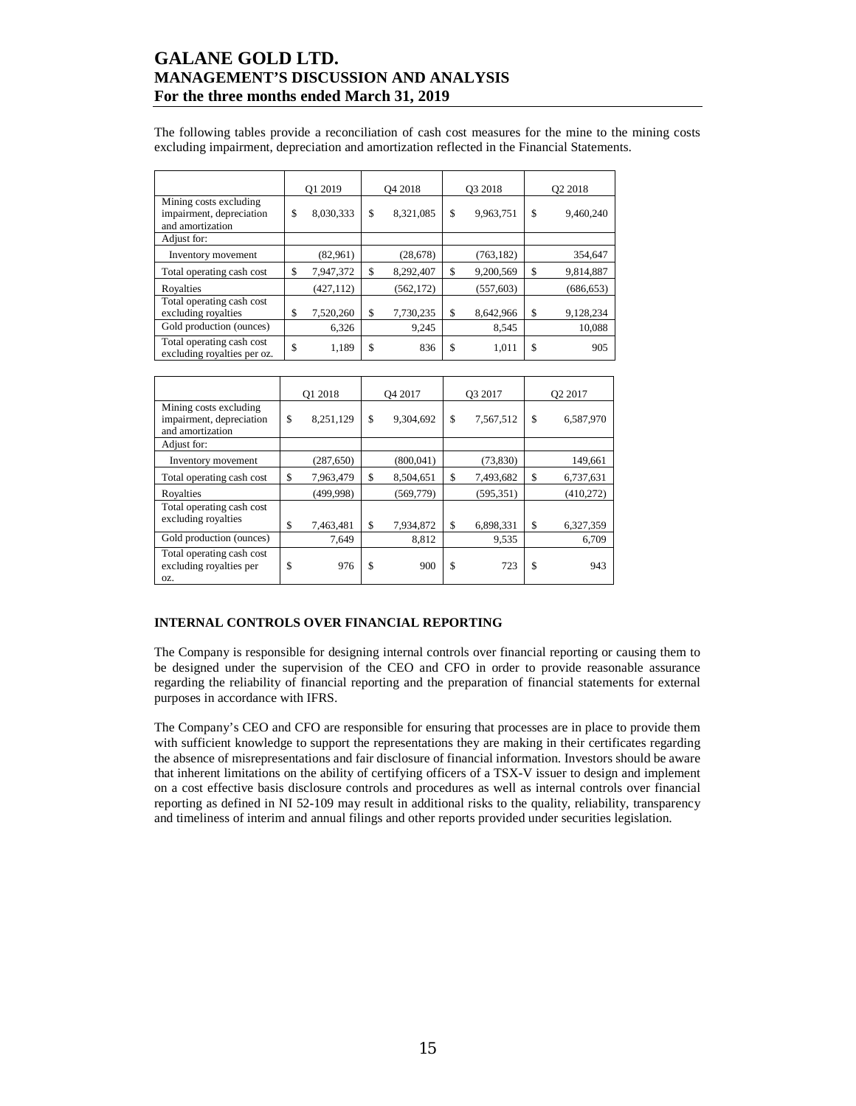The following tables provide a reconciliation of cash cost measures for the mine to the mining costs excluding impairment, depreciation and amortization reflected in the Financial Statements.

|                                                                        | O1 2019 |            | O <sub>4</sub> 2018 |            | O3 2018 |            | Q <sub>2</sub> 2018 |            |
|------------------------------------------------------------------------|---------|------------|---------------------|------------|---------|------------|---------------------|------------|
| Mining costs excluding<br>impairment, depreciation<br>and amortization | \$      | 8,030,333  | \$                  | 8,321,085  | \$      | 9,963,751  | \$                  | 9,460,240  |
| Adjust for:                                                            |         |            |                     |            |         |            |                     |            |
| Inventory movement                                                     |         | (82,961)   |                     | (28, 678)  |         | (763, 182) |                     | 354,647    |
| Total operating cash cost                                              | \$      | 7,947,372  | \$                  | 8,292,407  | \$      | 9,200,569  | \$                  | 9,814,887  |
| Royalties                                                              |         | (427, 112) |                     | (562, 172) |         | (557, 603) |                     | (686, 653) |
| Total operating cash cost<br>excluding royalties                       | \$      | 7,520,260  | \$                  | 7,730,235  | \$      | 8,642,966  | \$                  | 9,128,234  |
| Gold production (ounces)                                               |         | 6,326      |                     | 9,245      |         | 8,545      |                     | 10,088     |
| Total operating cash cost<br>excluding royalties per oz.               | \$      | 1,189      | \$                  | 836        | \$      | 1,011      | \$                  | 905        |

|                                                                        | O1 2018 |            | O <sub>4</sub> 2017 |            | O3 2017 |            | Q <sub>2</sub> 2017 |           |
|------------------------------------------------------------------------|---------|------------|---------------------|------------|---------|------------|---------------------|-----------|
| Mining costs excluding<br>impairment, depreciation<br>and amortization | \$      | 8,251,129  | \$                  | 9,304,692  | \$      | 7,567,512  | \$                  | 6,587,970 |
| Adjust for:                                                            |         |            |                     |            |         |            |                     |           |
| Inventory movement                                                     |         | (287, 650) |                     | (800, 041) |         | (73, 830)  |                     | 149,661   |
| Total operating cash cost                                              | \$      | 7,963,479  | \$                  | 8,504,651  | \$      | 7,493,682  | \$                  | 6,737,631 |
| Royalties                                                              |         | (499, 998) |                     | (569,779)  |         | (595, 351) |                     | (410,272) |
| Total operating cash cost<br>excluding royalties                       | \$      | 7,463,481  | \$                  | 7,934,872  | \$      | 6,898,331  | \$                  | 6,327,359 |
| Gold production (ounces)                                               |         | 7,649      |                     | 8,812      |         | 9,535      |                     | 6,709     |
| Total operating cash cost<br>excluding royalties per<br>OZ.            | \$      | 976        | \$                  | 900        | \$      | 723        | \$                  | 943       |

### **INTERNAL CONTROLS OVER FINANCIAL REPORTING**

The Company is responsible for designing internal controls over financial reporting or causing them to be designed under the supervision of the CEO and CFO in order to provide reasonable assurance regarding the reliability of financial reporting and the preparation of financial statements for external purposes in accordance with IFRS.

The Company's CEO and CFO are responsible for ensuring that processes are in place to provide them with sufficient knowledge to support the representations they are making in their certificates regarding the absence of misrepresentations and fair disclosure of financial information. Investors should be aware that inherent limitations on the ability of certifying officers of a TSX-V issuer to design and implement on a cost effective basis disclosure controls and procedures as well as internal controls over financial reporting as defined in NI 52-109 may result in additional risks to the quality, reliability, transparency and timeliness of interim and annual filings and other reports provided under securities legislation.